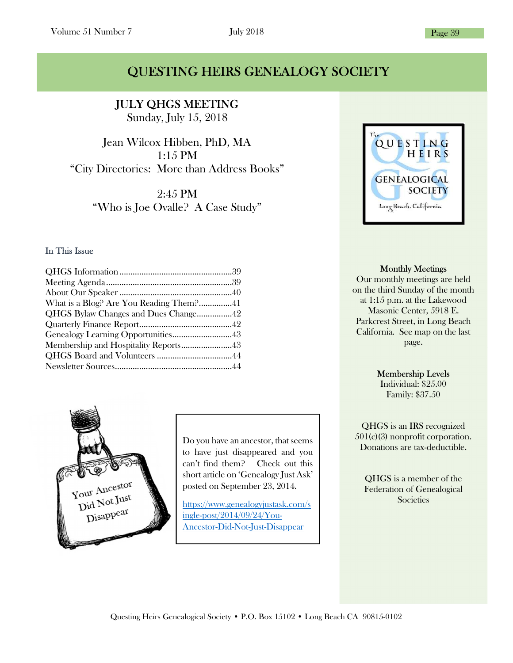### QUESTING HEIRS GENEALOGY SOCIETY

JULY QHGS MEETING Sunday, July 15, 2018

Ĩ

Jean Wilcox Hibben, PhD, MA 1:15 PM "City Directories: More than Address Books"

> 2:45 PM "Who is Joe Ovalle? A Case Study"

### In This Issue

| What is a Blog? Are You Reading Them?41 |  |
|-----------------------------------------|--|
| QHGS Bylaw Changes and Dues Change42    |  |
|                                         |  |
| Genealogy Learning Opportunities43      |  |
| Membership and Hospitality Reports43    |  |
|                                         |  |
|                                         |  |



Do you have an ancestor, that seems to have just disappeared and you can't find them? Check out this short article on 'Genealogy Just Ask' posted on September 23, 2014.

https://www.genealogyjustask.com/s ingle-post/2014/09/24/You-Ancestor-Did-Not-Just-Disappear



#### Monthly Meetings

Our monthly meetings are held on the third Sunday of the month at 1:15 p.m. at the Lakewood Masonic Center, 5918 E. Parkcrest Street, in Long Beach California. See map on the last page.

#### Membership Levels

Individual: \$25.00 Family: \$37.50

QHGS is an IRS recognized 501(c)(3) nonprofit corporation. Donations are tax-deductible.

QHGS is a member of the Federation of Genealogical **Societies**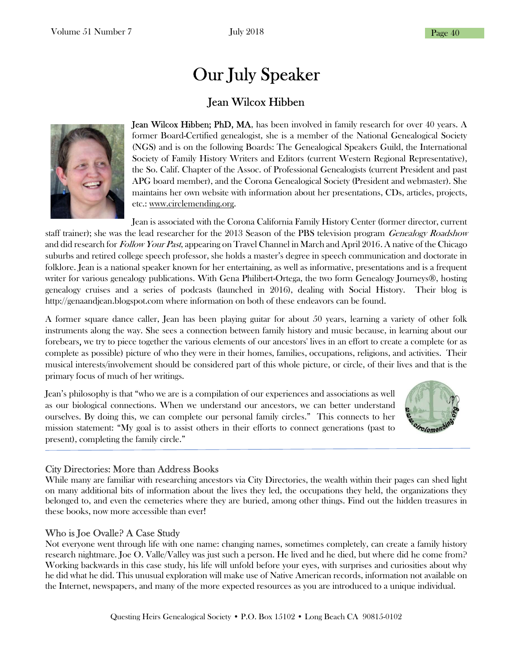# Our July Speaker

### Jean Wilcox Hibben



**Jean Wilcox Hibben; PhD, MA**, has been involved in family research for over 40 years. A former Board-Certified genealogist, she is a member of the National Genealogical Society (NGS) and is on the following Boards: The Genealogical Speakers Guild, the International Society of Family History Writers and Editors (current Western Regional Representative), the So. Calif. Chapter of the Assoc. of Professional Genealogists (current President and past APG board member), and the Corona Genealogical Society (President and webmaster). She maintains her own website with information about her presentations, CDs, articles, projects, etc.: www.circlemending.org.

Jean is associated with the Corona California Family History Center (former director, current staff trainer); she was the lead researcher for the 2013 Season of the PBS television program Genealogy Roadshow and did research for Follow Your Past, appearing on Travel Channel in March and April 2016. A native of the Chicago suburbs and retired college speech professor, she holds a master's degree in speech communication and doctorate in folklore. Jean is a national speaker known for her entertaining, as well as informative, presentations and is a frequent writer for various genealogy publications. With Gena Philibert-Ortega, the two form Genealogy Journeys®, hosting genealogy cruises and a series of podcasts (launched in 2016), dealing with Social History. Their blog is http://genaandjean.blogspot.com where information on both of these endeavors can be found.

A former square dance caller, Jean has been playing guitar for about 50 years, learning a variety of other folk instruments along the way. She sees a connection between family history and music because, in learning about our forebears, we try to piece together the various elements of our ancestors' lives in an effort to create a complete (or as complete as possible) picture of who they were in their homes, families, occupations, religions, and activities. Their musical interests/involvement should be considered part of this whole picture, or circle, of their lives and that is the primary focus of much of her writings.

Jean's philosophy is that "who we are is a compilation of our experiences and associations as well as our biological connections. When we understand our ancestors, we can better understand ourselves. By doing this, we can complete our personal family circles." This connects to her mission statement: "My goal is to assist others in their efforts to connect generations (past to present), completing the family circle."



### City Directories: More than Address Books

While many are familiar with researching ancestors via City Directories, the wealth within their pages can shed light on many additional bits of information about the lives they led, the occupations they held, the organizations they belonged to, and even the cemeteries where they are buried, among other things. Find out the hidden treasures in these books, now more accessible than ever!

### Who is Joe Ovalle? A Case Study

Not everyone went through life with one name: changing names, sometimes completely, can create a family history research nightmare. Joe O. Valle/Valley was just such a person. He lived and he died, but where did he come from? Working backwards in this case study, his life will unfold before your eyes, with surprises and curiosities about why he did what he did. This unusual exploration will make use of Native American records, information not available on the Internet, newspapers, and many of the more expected resources as you are introduced to a unique individual.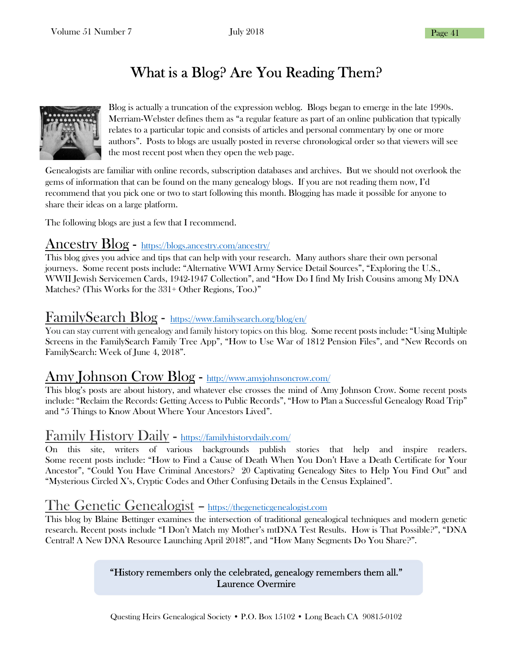## What is a Blog? Are You Reading Them?



Blog is actually a truncation of the expression weblog. Blogs began to emerge in the late 1990s. Merriam-Webster defines them as "a regular feature as part of an online publication that typically relates to a particular topic and consists of articles and personal commentary by one or more authors". Posts to blogs are usually posted in reverse chronological order so that viewers will see the most recent post when they open the web page.

Genealogists are familiar with online records, subscription databases and archives. But we should not overlook the gems of information that can be found on the many genealogy blogs. If you are not reading them now, I'd recommend that you pick one or two to start following this month. Blogging has made it possible for anyone to share their ideas on a large platform.

The following blogs are just a few that I recommend.

### Ancestry Blog - https://blogs.ancestry.com/ancestry/

This blog gives you advice and tips that can help with your research. Many authors share their own personal journeys. Some recent posts include: "Alternative WWI Army Service Detail Sources", "Exploring the U.S., WWII Jewish Servicemen Cards, 1942-1947 Collection", and "How Do I find My Irish Cousins among My DNA Matches? (This Works for the 331+ Other Regions, Too.)"

### FamilySearch Blog - https://www.familysearch.org/blog/en/

You can stay current with genealogy and family history topics on this blog. Some recent posts include: "Using Multiple Screens in the FamilySearch Family Tree App", "How to Use War of 1812 Pension Files", and "New Records on FamilySearch: Week of June 4, 2018".

### Amy Johnson Crow Blog - http://www.amyjohnsoncrow.com/

This blog's posts are about history, and whatever else crosses the mind of Amy Johnson Crow. Some recent posts include: "Reclaim the Records: Getting Access to Public Records", "How to Plan a Successful Genealogy Road Trip" and "5 Things to Know About Where Your Ancestors Lived".

### Family History Daily - https://familyhistorydaily.com/

On this site, writers of various backgrounds publish stories that help and inspire readers. Some recent posts include: "How to Find a Cause of Death When You Don't Have a Death Certificate for Your Ancestor", "Could You Have Criminal Ancestors? 20 Captivating Genealogy Sites to Help You Find Out" and "Mysterious Circled X's, Cryptic Codes and Other Confusing Details in the Census Explained".

### The Genetic Genealogist – https://thegeneticgenealogist.com

This blog by Blaine Bettinger examines the intersection of traditional genealogical techniques and modern genetic research. Recent posts include "I Don't Match my Mother's mtDNA Test Results. How is That Possible?", "DNA Central! A New DNA Resource Launching April 2018!", and "How Many Segments Do You Share?".

### "History remembers only the celebrated, genealogy remembers them all." Laurence Overmire

Questing Heirs Genealogical Society • P.O. Box 15102 • Long Beach CA 90815-0102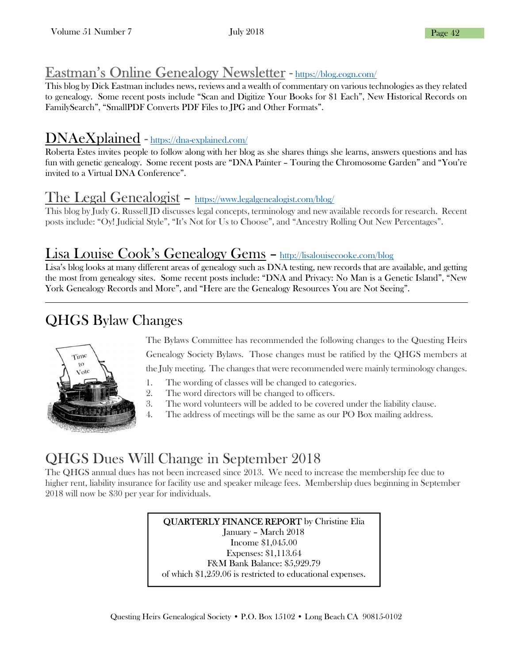### Eastman's Online Genealogy Newsletter - https://blog.eogn.com/

This blog by Dick Eastman includes news, reviews and a wealth of commentary on various technologies as they related to genealogy. Some recent posts include "Scan and Digitize Your Books for \$1 Each", New Historical Records on FamilySearch", "SmallPDF Converts PDF Files to JPG and Other Formats".

### DNAeXplained - https://dna-explained.com/

Roberta Estes invites people to follow along with her blog as she shares things she learns, answers questions and has fun with genetic genealogy. Some recent posts are "DNA Painter – Touring the Chromosome Garden" and "You're invited to a Virtual DNA Conference".

### The Legal Genealogist – https://www.legalgenealogist.com/blog/

This blog by Judy G. Russell JD discusses legal concepts, terminology and new available records for research. Recent posts include: "Oy! Judicial Style", "It's Not for Us to Choose", and "Ancestry Rolling Out New Percentages".

### Lisa Louise Cook's Genealogy Gems – http://lisalouisecooke.com/blog

Lisa's blog looks at many different areas of genealogy such as DNA testing, new records that are available, and getting the most from genealogy sites. Some recent posts include: "DNA and Privacy: No Man is a Genetic Island", "New York Genealogy Records and More", and "Here are the Genealogy Resources You are Not Seeing".

ı

## QHGS Bylaw Changes



The Bylaws Committee has recommended the following changes to the Questing Heirs Genealogy Society Bylaws. Those changes must be ratified by the QHGS members at the July meeting. The changes that were recommended were mainly terminology changes.

- 1. The wording of classes will be changed to categories.
- 2. The word directors will be changed to officers.
- 3. The word volunteers will be added to be covered under the liability clause.
- 4. The address of meetings will be the same as our PO Box mailing address.

## QHGS Dues Will Change in September 2018

The QHGS annual dues has not been increased since 2013. We need to increase the membership fee due to higher rent, liability insurance for facility use and speaker mileage fees. Membership dues beginning in September 2018 will now be \$30 per year for individuals.

> QUARTERLY FINANCE REPORT by Christine Elia January – March 2018 Income \$1,045.00 Expenses: \$1,113.64 F&M Bank Balance: \$5,929.79 of which \$1,259.06 is restricted to educational expenses.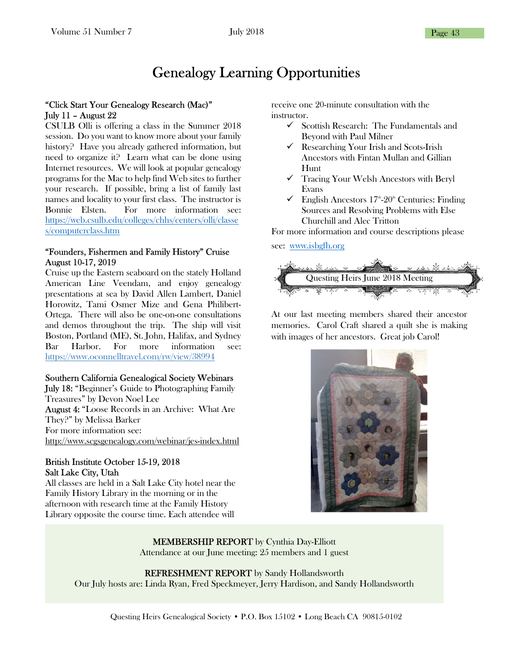## Genealogy Learning Opportunities

#### "Click Start Your Genealogy Research (Mac)" July 11 – August 22

CSULB Olli is offering a class in the Summer 2018 session. Do you want to know more about your family history? Have you already gathered information, but need to organize it? Learn what can be done using Internet resources. We will look at popular genealogy programs for the Mac to help find Web sites to further your research. If possible, bring a list of family last names and locality to your first class. The instructor is Bonnie Elsten. For more information see: https://web.csulb.edu/colleges/chhs/centers/olli/classe s/computerclass.htm

#### "Founders, Fishermen and Family History" Cruise August 10-17, 2019

Cruise up the Eastern seaboard on the stately Holland American Line Veendam, and enjoy genealogy presentations at sea by David Allen Lambert, Daniel Horowitz, Tami Osmer Mize and Gena Philibert-Ortega. There will also be one-on-one consultations and demos throughout the trip. The ship will visit Boston, Portland (ME), St. John, Halifax, and Sydney Bar Harbor. For more information see: https://www.oconnelltravel.com/rw/view/38994

### Southern California Genealogical Society Webinars

July 18: "Beginner's Guide to Photographing Family Treasures" by Devon Noel Lee August 4: "Loose Records in an Archive: What Are They?" by Melissa Barker For more information see: http://www.scgsgenealogy.com/webinar/jes-index.html

#### British Institute October 15-19, 2018 Salt Lake City, Utah

All classes are held in a Salt Lake City hotel near the Family History Library in the morning or in the afternoon with research time at the Family History Library opposite the course time. Each attendee will

receive one 20-minute consultation with the instructor.

- $\checkmark$  Scottish Research: The Fundamentals and Beyond with Paul Milner
- $\checkmark$  Researching Your Irish and Scots-Irish Ancestors with Fintan Mullan and Gillian Hunt
- Tracing Your Welsh Ancestors with Beryl Evans
- $\checkmark$  English Ancestors 17<sup>th</sup>-20<sup>th</sup> Centuries: Finding Sources and Resolving Problems with Else Churchill and Alec Tritton

For more information and course descriptions please

#### see: www.isbgfh.org



At our last meeting members shared their ancestor memories. Carol Craft shared a quilt she is making with images of her ancestors. Great job Carol!



MEMBERSHIP REPORT by Cynthia Day-Elliott Attendance at our June meeting: 25 members and 1 guest

REFRESHMENT REPORT by Sandy Hollandsworth Our July hosts are: Linda Ryan, Fred Speckmeyer, Jerry Hardison, and Sandy Hollandsworth